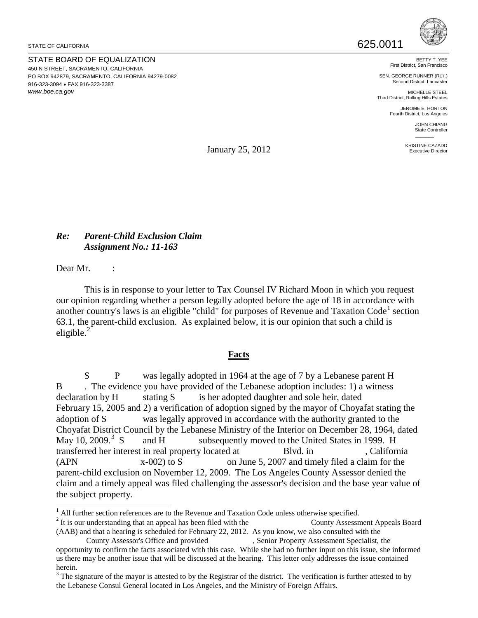STATE OF CALIFORNIA

STATE BOARD OF EQUALIZATION 450 N STREET, SACRAMENTO, CALIFORNIA PO BOX 942879, SACRAMENTO, CALIFORNIA 94279-0082 916-323-3094 • FAX 916-323-3387 *www.boe.ca.gov*



BETTY T. YEE First District, San Francisco

SEN. GEORGE RUNNER (RET.) Second District, Lancaste

MICHELLE STEEL Third District, Rolling Hills Estates

JEROME E. HORTON Fourth District, Los Angeles

> JOHN CHIANG State Controller  $\overline{\phantom{a}}$

KRISTINE CAZADD Executive Director

January 25, 2012

## *Re: Parent-Child Exclusion Claim Assignment No.: 11-163*

Dear Mr. :

This is in response to your letter to Tax Counsel IV Richard Moon in which you request our opinion regarding whether a person legally adopted before the age of 18 in accordance with another country's laws is an eligible "child" for purposes of Revenue and Taxation  $Code<sup>1</sup>$  $Code<sup>1</sup>$  $Code<sup>1</sup>$  section 63.1, the parent-child exclusion. As explained below, it is our opinion that such a child is eligible. $^{2}$  $^{2}$  $^{2}$ 

## **Facts**

S P was legally adopted in 1964 at the age of 7 by a Lebanese parent H B . The evidence you have provided of the Lebanese adoption includes: 1) a witness declaration by H stating S is her adopted daughter and sole heir, dated February 15, 2005 and 2) a verification of adoption signed by the mayor of Choyafat stating the adoption of S was legally approved in accordance with the authority granted to the Choyafat District Council by the Lebanese Ministry of the Interior on December 28, 1964, dated May 10, 2009. $3\,$  $3\,$  S and H subsequently moved to the United States in 1999. H transferred her interest in real property located at Blvd. in , California  $(XPN$   $X-002)$  to S on June 5, 2007 and timely filed a claim for the parent-child exclusion on November 12, 2009. The Los Angeles County Assessor denied the claim and a timely appeal was filed challenging the assessor's decision and the base year value of the subject property.

 $\overline{a}$  $<sup>1</sup>$  All further section references are to the Revenue and Taxation Code unless otherwise specified.</sup>

<span id="page-0-1"></span><span id="page-0-0"></span><sup>&</sup>lt;sup>2</sup> It is our understanding that an appeal has been filed with the County Assessment Appeals Board (AAB) and that a hearing is scheduled for February 22, 2012. As you know, we also consulted with the

County Assessor's Office and provided , Senior Property Assessment Specialist, the opportunity to confirm the facts associated with this case. While she had no further input on this issue, she informed us there may be another issue that will be discussed at the hearing. This letter only addresses the issue contained herein.

<span id="page-0-2"></span> $3$  The signature of the mayor is attested to by the Registrar of the district. The verification is further attested to by the Lebanese Consul General located in Los Angeles, and the Ministry of Foreign Affairs.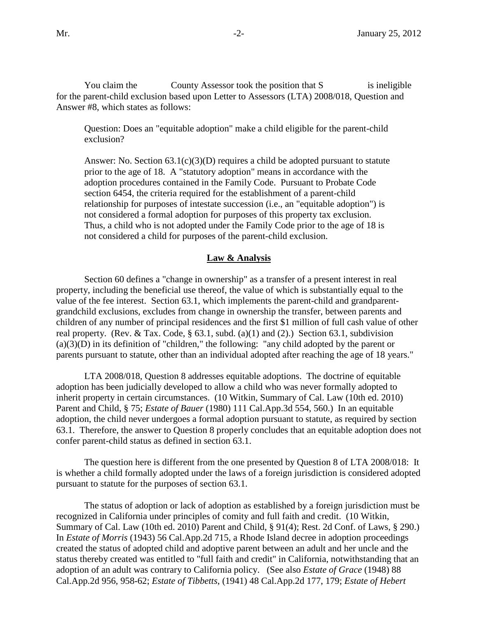You claim the County Assessor took the position that S is ineligible for the parent-child exclusion based upon Letter to Assessors (LTA) 2008/018, Question and Answer #8, which states as follows:

Question: Does an "equitable adoption" make a child eligible for the parent-child exclusion?

Answer: No. Section  $63.1(c)(3)(D)$  requires a child be adopted pursuant to statute prior to the age of 18. A "statutory adoption" means in accordance with the adoption procedures contained in the Family Code. Pursuant to Probate Code section 6454, the criteria required for the establishment of a parent-child relationship for purposes of intestate succession (i.e., an "equitable adoption") is not considered a formal adoption for purposes of this property tax exclusion. Thus, a child who is not adopted under the Family Code prior to the age of 18 is not considered a child for purposes of the parent-child exclusion.

## **Law & Analysis**

Section 60 defines a "change in ownership" as a transfer of a present interest in real property, including the beneficial use thereof, the value of which is substantially equal to the value of the fee interest. Section 63.1, which implements the parent-child and grandparentgrandchild exclusions, excludes from change in ownership the transfer, between parents and children of any number of principal residences and the first \$1 million of full cash value of other real property. (Rev. & Tax. Code,  $\S$  63.1, subd. (a)(1) and (2).) Section 63.1, subdivision  $(a)(3)(D)$  in its definition of "children," the following: "any child adopted by the parent or parents pursuant to statute, other than an individual adopted after reaching the age of 18 years."

LTA 2008/018, Question 8 addresses equitable adoptions. The doctrine of equitable adoption has been judicially developed to allow a child who was never formally adopted to inherit property in certain circumstances. (10 Witkin, Summary of Cal. Law (10th ed. 2010) Parent and Child, § 75; *Estate of Bauer* (1980) 111 Cal.App.3d 554, 560.) In an equitable adoption, the child never undergoes a formal adoption pursuant to statute, as required by section 63.1. Therefore, the answer to Question 8 properly concludes that an equitable adoption does not confer parent-child status as defined in section 63.1.

The question here is different from the one presented by Question 8 of LTA 2008/018: It is whether a child formally adopted under the laws of a foreign jurisdiction is considered adopted pursuant to statute for the purposes of section 63.1.

The status of adoption or lack of adoption as established by a foreign jurisdiction must be recognized in California under principles of comity and full faith and credit. (10 Witkin, Summary of Cal. Law (10th ed. 2010) Parent and Child, § 91(4); Rest. 2d Conf. of Laws, § 290.) In *Estate of Morris* (1943) 56 Cal.App.2d 715, a Rhode Island decree in adoption proceedings created the status of adopted child and adoptive parent between an adult and her uncle and the status thereby created was entitled to "full faith and credit" in California, notwithstanding that an adoption of an adult was contrary to California policy. (See also *Estate of Grace* (1948) 88 Cal.App.2d 956, 958-62; *Estate of Tibbetts*, (1941) 48 Cal.App.2d 177, 179; *Estate of Hebert*